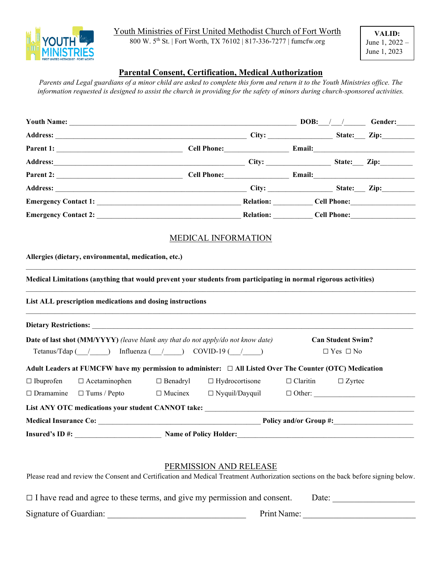

## Youth Ministries of First United Methodist Church of Fort Worth

800 W. 5th St. | Fort Worth, TX 76102 | 817-336-7277 | fumcfw.org

**VALID:** June 1, 2022 – June 1, 2023

## **Parental Consent, Certification, Medical Authorization**

*Parents and Legal guardians of a minor child are asked to complete this form and return it to the Youth Ministries office. The information requested is designed to assist the church in providing for the safety of minors during church-sponsored activities.*

| Youth Name: Gender: Gender: Contact the Contract of the Contract of the Contract of the Contract of the Contract of the Contract of the Contract of the Contract of the Contract of the Contract of the Contract of the Contra                                                                                                                                                                                                                                                                           |                     |                       |                 |                          |  |
|----------------------------------------------------------------------------------------------------------------------------------------------------------------------------------------------------------------------------------------------------------------------------------------------------------------------------------------------------------------------------------------------------------------------------------------------------------------------------------------------------------|---------------------|-----------------------|-----------------|--------------------------|--|
| Address: Zip: Zip: Zip:                                                                                                                                                                                                                                                                                                                                                                                                                                                                                  |                     |                       |                 |                          |  |
|                                                                                                                                                                                                                                                                                                                                                                                                                                                                                                          |                     |                       |                 |                          |  |
|                                                                                                                                                                                                                                                                                                                                                                                                                                                                                                          |                     |                       |                 |                          |  |
|                                                                                                                                                                                                                                                                                                                                                                                                                                                                                                          |                     |                       |                 |                          |  |
|                                                                                                                                                                                                                                                                                                                                                                                                                                                                                                          |                     |                       |                 |                          |  |
|                                                                                                                                                                                                                                                                                                                                                                                                                                                                                                          |                     |                       |                 |                          |  |
|                                                                                                                                                                                                                                                                                                                                                                                                                                                                                                          |                     |                       |                 |                          |  |
|                                                                                                                                                                                                                                                                                                                                                                                                                                                                                                          | MEDICAL INFORMATION |                       |                 |                          |  |
|                                                                                                                                                                                                                                                                                                                                                                                                                                                                                                          |                     |                       |                 |                          |  |
|                                                                                                                                                                                                                                                                                                                                                                                                                                                                                                          |                     |                       |                 |                          |  |
|                                                                                                                                                                                                                                                                                                                                                                                                                                                                                                          |                     |                       |                 |                          |  |
|                                                                                                                                                                                                                                                                                                                                                                                                                                                                                                          |                     |                       |                 |                          |  |
|                                                                                                                                                                                                                                                                                                                                                                                                                                                                                                          |                     |                       |                 |                          |  |
|                                                                                                                                                                                                                                                                                                                                                                                                                                                                                                          |                     |                       |                 |                          |  |
|                                                                                                                                                                                                                                                                                                                                                                                                                                                                                                          |                     |                       |                 | <b>Can Student Swim?</b> |  |
| Tetanus/Tdap $( / )$ Influenza $( / )$ OOVID-19 $( / )$                                                                                                                                                                                                                                                                                                                                                                                                                                                  |                     |                       |                 | $\Box$ Yes $\Box$ No     |  |
|                                                                                                                                                                                                                                                                                                                                                                                                                                                                                                          |                     |                       |                 |                          |  |
| $\Box$ Acetaminophen                                                                                                                                                                                                                                                                                                                                                                                                                                                                                     | $\Box$ Benadryl     | □ Hydrocortisone      | $\Box$ Claritin | $\Box$ Zyrtec            |  |
| Allergies (dietary, environmental, medication, etc.)<br>Medical Limitations (anything that would prevent your students from participating in normal rigorous activities)<br>List ALL prescription medications and dosing instructions<br><b>Date of last shot (MM/YYYY)</b> (leave blank any that do not apply/do not know date)<br>Adult Leaders at FUMCFW have my permission to administer: □ All Listed Over The Counter (OTC) Medication<br>$\Box$ Ibuprofen<br>$\Box$ Dramamine $\Box$ Tums / Pepto | $\Box$ Mucinex      | $\Box$ Nyquil/Dayquil |                 |                          |  |
|                                                                                                                                                                                                                                                                                                                                                                                                                                                                                                          |                     |                       |                 |                          |  |
|                                                                                                                                                                                                                                                                                                                                                                                                                                                                                                          |                     |                       |                 |                          |  |

Please read and review the Consent and Certification and Medical Treatment Authorization sections on the back before signing below.

|                        | $\Box$ I have read and agree to these terms, and give my permission and consent. | Date: |
|------------------------|----------------------------------------------------------------------------------|-------|
| Signature of Guardian: | Print Name:                                                                      |       |